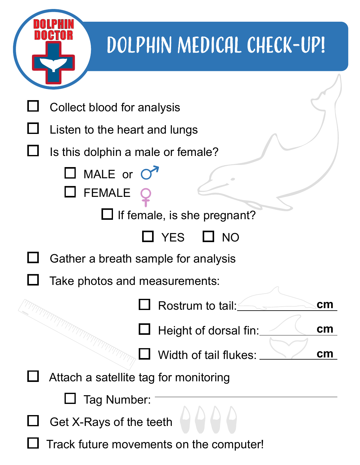

## DOLPHIN MEDICAL CHECK-UP!